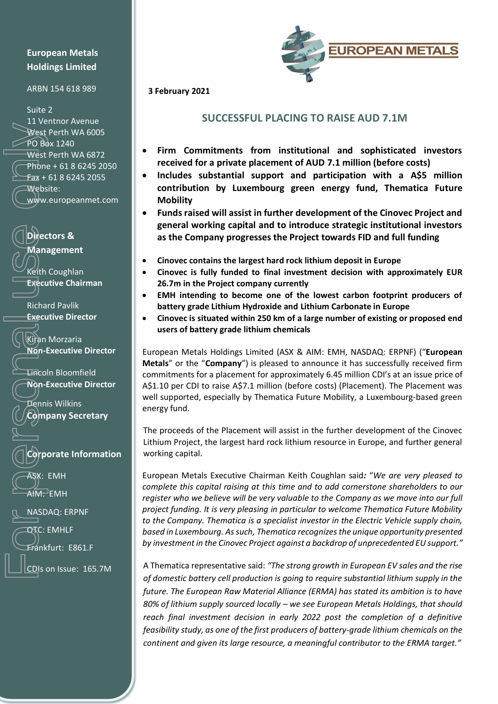# **European Metals Holdings Limited**

#### ARBN 154 618 989

Suite 2 11 Ventnor Avenue West Perth WA 6005 PO Box 1240 West Perth WA 6872 Phone + 61 8 6245 2050 Fax + 61 8 6245 2055 Website: www.europeanmet.com West<br>PORE<br>For Port Port of Pinding<br>Port Port of Pinding<br>Manana Execution Richa<br>Execution Richa<br>Domenicol Port of Personal Color Port of Color Pinding<br>Color Port of Pinding<br>Color Port of Color Pinding<br>Color Port of Color Pi

**Directors & Management**

Keith Coughlan **Executive Chairman**

Richard Pavlik **Executive Director**

Kiran Morzaria **Non-Executive Director**

Lincoln Bloomfield **Non-Executive Director**

Dennis Wilkins **Company Secretary**

**Corporate Information**

ASX: EMH  $\overline{\mathsf{AlM}}$ : EMH

NASDAQ: ERPNF

OTC: EMHLF Frankfurt: E861.F

CDIs on Issue: 165.7M



#### **3 February 2021**

## **SUCCESSFUL PLACING TO RAISE AUD 7.1M**

- **Firm Commitments from institutional and sophisticated investors received for a private placement of AUD 7.1 million (before costs)**
- **Includes substantial support and participation with a A\$5 million contribution by Luxembourg green energy fund, Thematica Future Mobility**
- **Funds raised will assist in further development of the Cinovec Project and general working capital and to introduce strategic institutional investors as the Company progresses the Project towards FID and full funding**
- **Cinovec contains the largest hard rock lithium deposit in Europe**
- **Cinovec is fully funded to final investment decision with approximately EUR 26.7m in the Project company currently**
- **EMH intending to become one of the lowest carbon footprint producers of battery grade Lithium Hydroxide and Lithium Carbonate in Europe**
- **Cinovec is situated within 250 km of a large number of existing or proposed end users of battery grade lithium chemicals**

European Metals Holdings Limited (ASX & AIM: EMH, NASDAQ: ERPNF) ("**European Metals**" or the "**Company**") is pleased to announce it has successfully received firm commitments for a placement for approximately 6.45 million CDI's at an issue price of A\$1.10 per CDI to raise A\$7.1 million (before costs) (Placement). The Placement was well supported, especially by Thematica Future Mobility, a Luxembourg-based green energy fund.

The proceeds of the Placement will assist in the further development of the Cinovec Lithium Project, the largest hard rock lithium resource in Europe, and further general working capital.

European Metals Executive Chairman Keith Coughlan said*:* "*We are very pleased to complete this capital raising at this time and to add cornerstone shareholders to our register who we believe will be very valuable to the Company as we move into our full project funding. It is very pleasing in particular to welcome Thematica Future Mobility to the Company. Thematica is a specialist investor in the Electric Vehicle supply chain, based in Luxembourg. As such, Thematica recognizesthe unique opportunity presented by investment in the Cinovec Project against a backdrop of unprecedented EU support."*

A Thematica representative said: *"The strong growth in European EV sales and the rise of domestic battery cell production is going to require substantial lithium supply in the future. The European Raw Material Alliance (ERMA) has stated its ambition is to have 80% of lithium supply sourced locally – we see European Metals Holdings, that should reach final investment decision in early 2022 post the completion of a definitive feasibility study, as one of the first producers of battery-grade lithium chemicals on the continent and given its large resource, a meaningful contributor to the ERMA target."*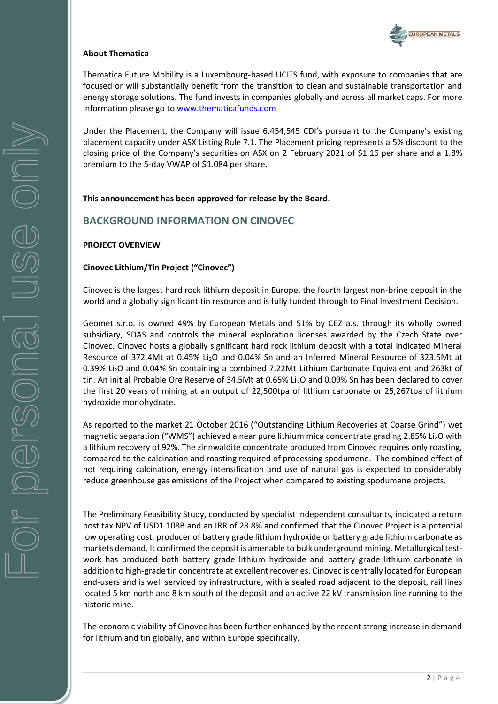

#### **About Thematica**

Thematica Future Mobility is a Luxembourg-based UCITS fund, with exposure to companies that are focused or will substantially benefit from the transition to clean and sustainable transportation and energy storage solutions. The fund invests in companies globally and across all market caps. For more information please go to www.thematicafunds.com

Under the Placement, the Company will issue 6,454,545 CDI's pursuant to the Company's existing placement capacity under ASX Listing Rule 7.1. The Placement pricing represents a 5% discount to the closing price of the Company's securities on ASX on 2 February 2021 of \$1.16 per share and a 1.8% premium to the 5-day VWAP of \$1.084 per share.

#### **This announcement has been approved for release by the Board.**

## **BACKGROUND INFORMATION ON CINOVEC**

#### **PROJECT OVERVIEW**

### **Cinovec Lithium/Tin Project ("Cinovec")**

Cinovec is the largest hard rock lithium deposit in Europe, the fourth largest non-brine deposit in the world and a globally significant tin resource and is fully funded through to Final Investment Decision.

Geomet s.r.o. is owned 49% by European Metals and 51% by CEZ a.s. through its wholly owned subsidiary, SDAS and controls the mineral exploration licenses awarded by the Czech State over Cinovec. Cinovec hosts a globally significant hard rock lithium deposit with a total Indicated Mineral Resource of 372.4Mt at 0.45% Li2O and 0.04% Sn and an Inferred Mineral Resource of 323.5Mt at 0.39% Li2O and 0.04% Sn containing a combined 7.22Mt Lithium Carbonate Equivalent and 263kt of tin. An initial Probable Ore Reserve of 34.5Mt at 0.65% Li<sub>2</sub>O and 0.09% Sn has been declared to cover the first 20 years of mining at an output of 22,500tpa of lithium carbonate or 25,267tpa of lithium hydroxide monohydrate.

As reported to the market 21 October 2016 ("Outstanding Lithium Recoveries at Coarse Grind") wet magnetic separation ("WMS") achieved a near pure lithium mica concentrate grading 2.85% Li<sub>2</sub>O with a lithium recovery of 92%. The zinnwaldite concentrate produced from Cinovec requires only roasting, compared to the calcination and roasting required of processing spodumene. The combined effect of not requiring calcination, energy intensification and use of natural gas is expected to considerably reduce greenhouse gas emissions of the Project when compared to existing spodumene projects.

The Preliminary Feasibility Study, conducted by specialist independent consultants, indicated a return post tax NPV of USD1.108B and an IRR of 28.8% and confirmed that the Cinovec Project is a potential low operating cost, producer of battery grade lithium hydroxide or battery grade lithium carbonate as markets demand. It confirmed the deposit is amenable to bulk underground mining. Metallurgical testwork has produced both battery grade lithium hydroxide and battery grade lithium carbonate in addition to high-grade tin concentrate at excellent recoveries. Cinovec is centrally located for European end-users and is well serviced by infrastructure, with a sealed road adjacent to the deposit, rail lines located 5 km north and 8 km south of the deposit and an active 22 kV transmission line running to the historic mine.

The economic viability of Cinovec has been further enhanced by the recent strong increase in demand for lithium and tin globally, and within Europe specifically.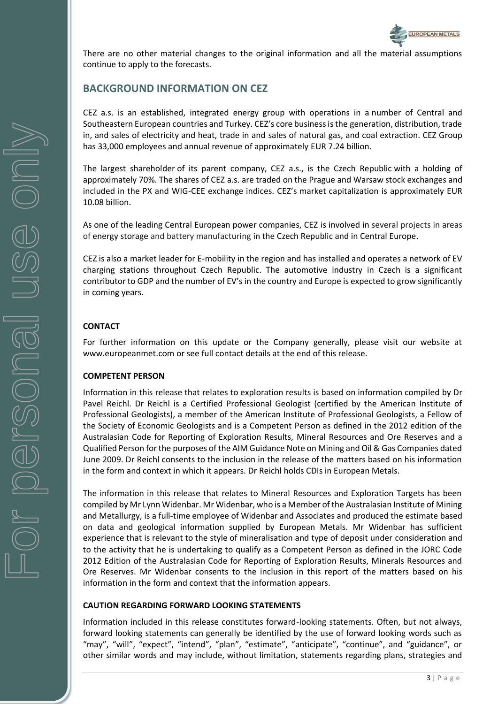

There are no other material changes to the original information and all the material assumptions continue to apply to the forecasts.

# **BACKGROUND INFORMATION ON CEZ**

CEZ a.s. is an established, integrated energy group with operations in a number of Central and Southeastern European countries and Turkey. CEZ's core business is the generation, distribution, trade in, and sales of electricity and heat, trade in and sales of natural gas, and coal extraction. CEZ Group has 33,000 employees and annual revenue of approximately EUR 7.24 billion.

The largest shareholder of its parent company, CEZ a.s., is the Czech Republic with a holding of approximately 70%. The shares of CEZ a.s. are traded on the Prague and Warsaw stock exchanges and included in the PX and WIG-CEE exchange indices. CEZ's market capitalization is approximately EUR 10.08 billion.

As one of the leading Central European power companies, CEZ is involved in several projects in areas of energy storage and battery manufacturing in the Czech Republic and in Central Europe.

CEZ is also a market leader for E-mobility in the region and has installed and operates a network of EV charging stations throughout Czech Republic. The automotive industry in Czech is a significant contributor to GDP and the number of EV's in the country and Europe is expected to grow significantly in coming years.

## **CONTACT**

For further information on this update or the Company generally, please visit our website at www.europeanmet.com or see full contact details at the end of this release.

### **COMPETENT PERSON**

Information in this release that relates to exploration results is based on information compiled by Dr Pavel Reichl. Dr Reichl is a Certified Professional Geologist (certified by the American Institute of Professional Geologists), a member of the American Institute of Professional Geologists, a Fellow of the Society of Economic Geologists and is a Competent Person as defined in the 2012 edition of the Australasian Code for Reporting of Exploration Results, Mineral Resources and Ore Reserves and a Qualified Person for the purposes of the AIM Guidance Note on Mining and Oil & Gas Companies dated June 2009. Dr Reichl consents to the inclusion in the release of the matters based on his information in the form and context in which it appears. Dr Reichl holds CDIs in European Metals.

The information in this release that relates to Mineral Resources and Exploration Targets has been compiled by Mr Lynn Widenbar. Mr Widenbar, who is a Member of the Australasian Institute of Mining and Metallurgy, is a full-time employee of Widenbar and Associates and produced the estimate based on data and geological information supplied by European Metals. Mr Widenbar has sufficient experience that is relevant to the style of mineralisation and type of deposit under consideration and to the activity that he is undertaking to qualify as a Competent Person as defined in the JORC Code 2012 Edition of the Australasian Code for Reporting of Exploration Results, Minerals Resources and Ore Reserves. Mr Widenbar consents to the inclusion in this report of the matters based on his information in the form and context that the information appears.

### **CAUTION REGARDING FORWARD LOOKING STATEMENTS**

Information included in this release constitutes forward-looking statements. Often, but not always, forward looking statements can generally be identified by the use of forward looking words such as "may", "will", "expect", "intend", "plan", "estimate", "anticipate", "continue", and "guidance", or other similar words and may include, without limitation, statements regarding plans, strategies and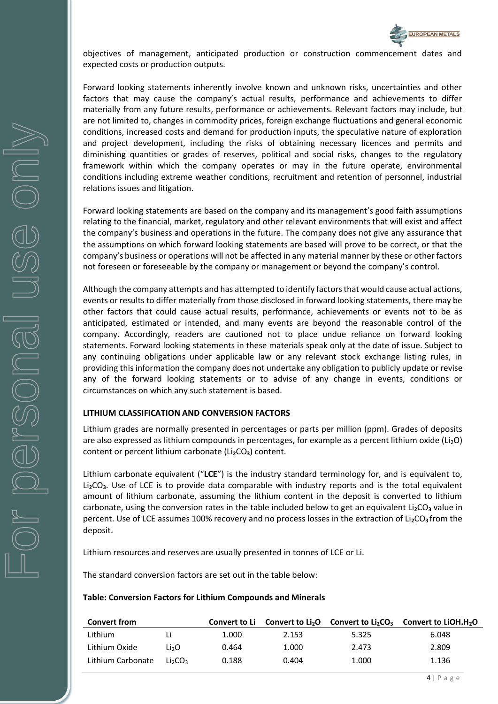

objectives of management, anticipated production or construction commencement dates and expected costs or production outputs.

Forward looking statements inherently involve known and unknown risks, uncertainties and other factors that may cause the company's actual results, performance and achievements to differ materially from any future results, performance or achievements. Relevant factors may include, but are not limited to, changes in commodity prices, foreign exchange fluctuations and general economic conditions, increased costs and demand for production inputs, the speculative nature of exploration and project development, including the risks of obtaining necessary licences and permits and diminishing quantities or grades of reserves, political and social risks, changes to the regulatory framework within which the company operates or may in the future operate, environmental conditions including extreme weather conditions, recruitment and retention of personnel, industrial relations issues and litigation.

Forward looking statements are based on the company and its management's good faith assumptions relating to the financial, market, regulatory and other relevant environments that will exist and affect the company's business and operations in the future. The company does not give any assurance that the assumptions on which forward looking statements are based will prove to be correct, or that the company's business or operations will not be affected in any material manner by these or other factors not foreseen or foreseeable by the company or management or beyond the company's control.

Although the company attempts and has attempted to identify factors that would cause actual actions, events or results to differ materially from those disclosed in forward looking statements, there may be other factors that could cause actual results, performance, achievements or events not to be as anticipated, estimated or intended, and many events are beyond the reasonable control of the company. Accordingly, readers are cautioned not to place undue reliance on forward looking statements. Forward looking statements in these materials speak only at the date of issue. Subject to any continuing obligations under applicable law or any relevant stock exchange listing rules, in providing this information the company does not undertake any obligation to publicly update or revise any of the forward looking statements or to advise of any change in events, conditions or circumstances on which any such statement is based.

### **LITHIUM CLASSIFICATION AND CONVERSION FACTORS**

Lithium grades are normally presented in percentages or parts per million (ppm). Grades of deposits are also expressed as lithium compounds in percentages, for example as a percent lithium oxide (Li<sub>2</sub>O) content or percent lithium carbonate (Li<sub>2</sub>CO<sub>3</sub>) content.

Lithium carbonate equivalent ("**LCE**") is the industry standard terminology for, and is equivalent to, Li**2**CO**3**. Use of LCE is to provide data comparable with industry reports and is the total equivalent amount of lithium carbonate, assuming the lithium content in the deposit is converted to lithium carbonate, using the conversion rates in the table included below to get an equivalent Li<sub>2</sub>CO<sub>3</sub> value in percent. Use of LCE assumes 100% recovery and no process losses in the extraction of Li<sub>2</sub>CO<sub>3</sub> from the deposit.

Lithium resources and reserves are usually presented in tonnes of LCE or Li.

The standard conversion factors are set out in the table below:

#### **Table: Conversion Factors for Lithium Compounds and Minerals**

| <b>Convert from</b> |                     |       |       |       | Convert to Li Convert to Li <sub>2</sub> O Convert to Li <sub>2</sub> CO <sub>3</sub> Convert to LiOH.H <sub>2</sub> O |
|---------------------|---------------------|-------|-------|-------|------------------------------------------------------------------------------------------------------------------------|
| Lithium             |                     | 1.000 | 2.153 | 5.325 | 6.048                                                                                                                  |
| Lithium Oxide       | Li <sub>2</sub> O   | 0.464 | 1.000 | 2.473 | 2.809                                                                                                                  |
| Lithium Carbonate   | Li <sub>2</sub> CO3 | 0.188 | 0.404 | 1.000 | 1.136                                                                                                                  |